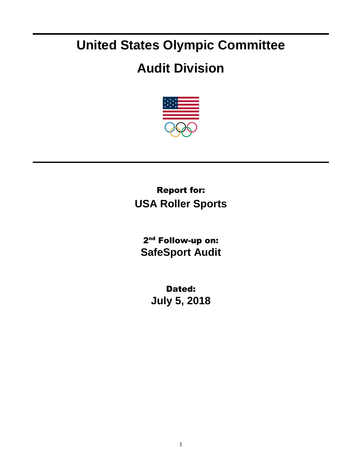## **United States Olympic Committee**

## **Audit Division**



## Report for: **USA Roller Sports**

2<sup>nd</sup> Follow-up on: **SafeSport Audit**

> Dated: **July 5, 2018**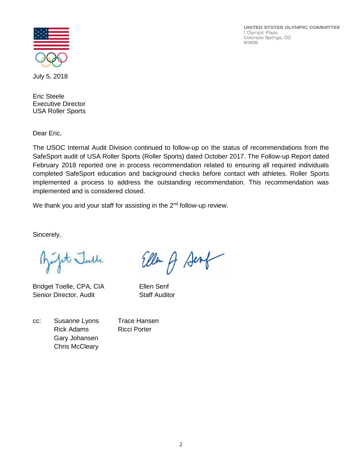UNITED STATES OLYMPIC COMMITTEE 1 Olympic Plaza Colorado Springs, CO 80909



July 5, 2018

Eric Steele Executive Director USA Roller Sports

Dear Eric,

The USOC Internal Audit Division continued to follow-up on the status of recommendations from the SafeSport audit of USA Roller Sports (Roller Sports) dated October 2017. The Follow-up Report dated February 2018 reported one in process recommendation related to ensuring all required individuals completed SafeSport education and background checks before contact with athletes. Roller Sports implemented a process to address the outstanding recommendation. This recommendation was implemented and is considered closed.

We thank you and your staff for assisting in the 2<sup>nd</sup> follow-up review.

Sincerely,

Bujt Julle

Bridget Toelle, CPA, CIA Ellen Senf Senior Director, Audit Staff Auditor

cc: Susanne Lyons Trace Hansen Rick Adams Ricci Porter Gary Johansen Chris McCleary

Ellen A Sent